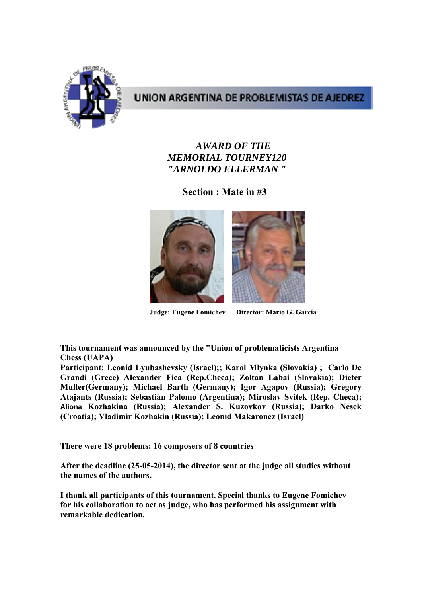

## UNION ARGENTINA DE PROBLEMISTAS DE AJEDREZ

## *AWARD OF THE MEMORIAL TOURNEY120 "ARNOLDO ELLERMAN "*

**Section : Mate in #3** 



**Judge: Eugene Fomichev Director: Mario G. García** 

**This tournament was announced by the "Union of problematicists Argentina Chess (UAPA)** 

**Participant: Leonid Lyubashevsky (Israel);; Karol Mlynka (Slovakia) ; Carlo De Grandi (Grece) Alexander Fica (Rep.Checa); Zoltan Labai (Slovakia); Dieter Muller(Germany); Michael Barth (Germany); Igor Agapov (Russia); Gregory Atajants (Russia); Sebastián Palomo (Argentina); Miroslav Svitek (Rep. Checa); Aliona Kozhakina (Russia); Alexander S. Kuzovkov (Russia); Darko Nesek (Croatia); Vladimir Kozhakin (Russia); Leonid Makaronez (Israel)** 

**There were 18 problems: 16 composers of 8 countries** 

**After the deadline (25-05-2014), the director sent at the judge all studies without the names of the authors.** 

**I thank all participants of this tournament. Special thanks to Eugene Fomichev for his collaboration to act as judge, who has performed his assignment with remarkable dedication.**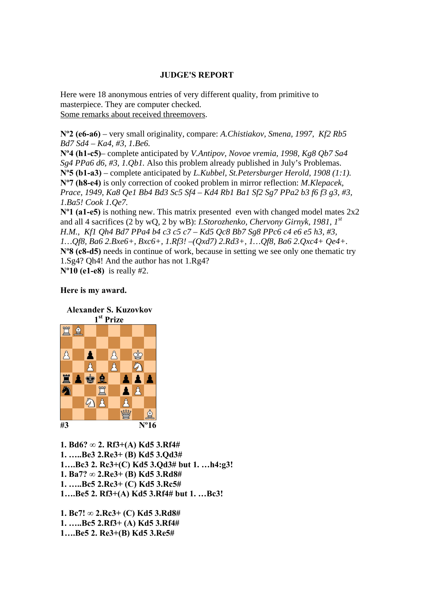## **JUDGE'S REPORT**

Here were 18 anonymous entries of very different quality, from primitive to masterpiece. They are computer checked. Some remarks about received threemovers.

**Nº2 (e6-a6)** – very small originality, compare: *A.Chistiakov, Smena, 1997, Kf2 Rb5 Bd7 Sd4 – Ka4, #3, 1.Be6.* 

**Nº4 (h1-c5)**– complete anticipated by *V.Antipov, Novoe vremia, 1998, Kg8 Qb7 Sa4 Sg4 PPa6 d6, #3, 1.Qb1.* Also this problem already published in July's Problemas. **Nº5 (b1-a3)** – complete anticipated by *L.Kubbel, St.Petersburger Herold, 1908 (1:1).*  **Nº7 (h8-e4)** is only correction of cooked problem in mirror reflection: *M.Klepacek, Prace, 1949, Ka8 Qe1 Bb4 Bd3 Sc5 Sf4 – Kd4 Rb1 Ba1 Sf2 Sg7 PPa2 b3 f6 f3 g3, #3, 1.Ba5! Cook 1.Qe7.* 

**Nº1 (a1-e5)** is nothing new. This matrix presented even with changed model mates 2x2 and all 4 sacrifices (2 by wQ, 2 by wB): *I.Storozhenko, Chervony Girnyk, 1981, 1st H.M., Kf1 Qh4 Bd7 PPa4 b4 c3 c5 c7 – Kd5 Qc8 Bb7 Sg8 PPc6 c4 e6 e5 h3, #3, 1…Qf8, Ba6 2.Bxe6+, Bxc6+, 1.Rf3! –(Qxd7) 2.Rd3+, 1…Qf8, Ba6 2.Qxc4+ Qe4+.*  **Nº8 (c8-d5)** needs in continue of work, because in setting we see only one thematic try 1.Sg4? Qh4! And the author has not 1.Rg4? **Nº10 (e1-e8)** is really #2.

## **Here is my award.**



**1. Bd6? ∞ 2. Rf3+(A) Kd5 3.Rf4# 1. …..Be3 2.Re3+ (B) Kd5 3.Qd3# 1….Bc3 2. Rc3+(C) Kd5 3.Qd3# but 1. …h4:g3! 1. Ba7? ∞ 2.Re3+ (B) Kd5 3.Rd8# 1. …..Bc5 2.Rc3+ (C) Kd5 3.Rc5# 1….Be5 2. Rf3+(A) Kd5 3.Rf4# but 1. …Bc3!** 

**1. Bc7! ∞ 2.Rc3+ (C) Kd5 3.Rd8# 1. …..Bc5 2.Rf3+ (A) Kd5 3.Rf4# 1….Be5 2. Re3+(B) Kd5 3.Re5#**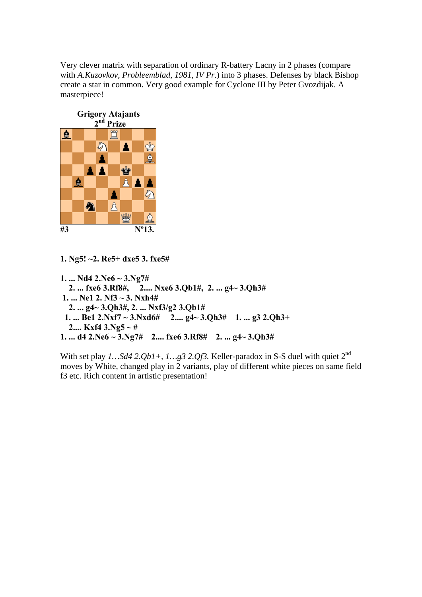Very clever matrix with separation of ordinary R-battery Lacny in 2 phases (compare with *A.Kuzovkov, Probleemblad, 1981, IV Pr*.) into 3 phases. Defenses by black Bishop create a star in common. Very good example for Cyclone III by Peter Gvozdijak. A masterpiece!



**1. Ng5! ~2. Re5+ dxe5 3. fxe5#** 

**1. ... Nd4 2.Ne6 ~ 3.Ng7# 2. ... fxe6 3.Rf8#, 2.... Nxe6 3.Qb1#, 2. ... g4~ 3.Qh3# 1. ... Ne1 2. Nf3 ~ 3. Nxh4# 2. ... g4~ 3.Qh3#, 2. ... Nxf3/g2 3.Qb1# 1. ... Be1 2.Nxf7 ~ 3.Nxd6# 2.... g4~ 3.Qh3# 1. ... g3 2.Qh3+ 2.... Kxf4 3.Ng5 ~ # 1. ... d4 2.Ne6 ~ 3.Ng7# 2.... fxe6 3.Rf8# 2. ... g4~ 3.Qh3#** 

With set play  $1...Sd4$  2. $Qb1+$ ,  $1...g3$  2. $Qf3$ . Keller-paradox in S-S duel with quiet 2<sup>nd</sup> moves by White, changed play in 2 variants, play of different white pieces on same field f3 etc. Rich content in artistic presentation!